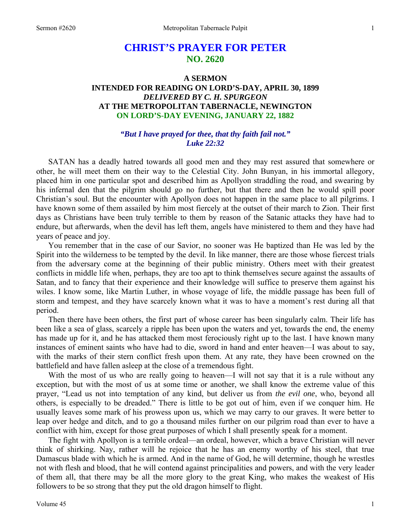# **CHRIST'S PRAYER FOR PETER NO. 2620**

## **A SERMON INTENDED FOR READING ON LORD'S-DAY, APRIL 30, 1899**  *DELIVERED BY C. H. SPURGEON*  **AT THE METROPOLITAN TABERNACLE, NEWINGTON ON LORD'S-DAY EVENING, JANUARY 22, 1882**

## *"But I have prayed for thee, that thy faith fail not." Luke 22:32*

SATAN has a deadly hatred towards all good men and they may rest assured that somewhere or other, he will meet them on their way to the Celestial City. John Bunyan, in his immortal allegory, placed him in one particular spot and described him as Apollyon straddling the road, and swearing by his infernal den that the pilgrim should go no further, but that there and then he would spill poor Christian's soul. But the encounter with Apollyon does not happen in the same place to all pilgrims. I have known some of them assailed by him most fiercely at the outset of their march to Zion. Their first days as Christians have been truly terrible to them by reason of the Satanic attacks they have had to endure, but afterwards, when the devil has left them, angels have ministered to them and they have had years of peace and joy.

 You remember that in the case of our Savior, no sooner was He baptized than He was led by the Spirit into the wilderness to be tempted by the devil. In like manner, there are those whose fiercest trials from the adversary come at the beginning of their public ministry. Others meet with their greatest conflicts in middle life when, perhaps, they are too apt to think themselves secure against the assaults of Satan, and to fancy that their experience and their knowledge will suffice to preserve them against his wiles. I know some, like Martin Luther, in whose voyage of life, the middle passage has been full of storm and tempest, and they have scarcely known what it was to have a moment's rest during all that period.

 Then there have been others, the first part of whose career has been singularly calm. Their life has been like a sea of glass, scarcely a ripple has been upon the waters and yet, towards the end, the enemy has made up for it, and he has attacked them most ferociously right up to the last. I have known many instances of eminent saints who have had to die, sword in hand and enter heaven—I was about to say, with the marks of their stern conflict fresh upon them. At any rate, they have been crowned on the battlefield and have fallen asleep at the close of a tremendous fight.

With the most of us who are really going to heaven—I will not say that it is a rule without any exception, but with the most of us at some time or another, we shall know the extreme value of this prayer, "Lead us not into temptation of any kind, but deliver us from *the evil one*, who, beyond all others, is especially to be dreaded." There is little to be got out of him, even if we conquer him. He usually leaves some mark of his prowess upon us, which we may carry to our graves. It were better to leap over hedge and ditch, and to go a thousand miles further on our pilgrim road than ever to have a conflict with him, except for those great purposes of which I shall presently speak for a moment.

 The fight with Apollyon is a terrible ordeal—an ordeal, however, which a brave Christian will never think of shirking. Nay, rather will he rejoice that he has an enemy worthy of his steel, that true Damascus blade with which he is armed. And in the name of God, he will determine, though he wrestles not with flesh and blood, that he will contend against principalities and powers, and with the very leader of them all, that there may be all the more glory to the great King, who makes the weakest of His followers to be so strong that they put the old dragon himself to flight.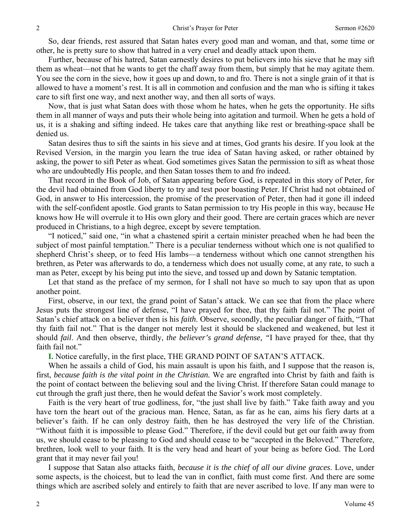So, dear friends, rest assured that Satan hates every good man and woman, and that, some time or other, he is pretty sure to show that hatred in a very cruel and deadly attack upon them.

 Further, because of his hatred, Satan earnestly desires to put believers into his sieve that he may sift them as wheat—not that he wants to get the chaff away from them, but simply that he may agitate them. You see the corn in the sieve, how it goes up and down, to and fro. There is not a single grain of it that is allowed to have a moment's rest. It is all in commotion and confusion and the man who is sifting it takes care to sift first one way, and next another way, and then all sorts of ways.

 Now, that is just what Satan does with those whom he hates, when he gets the opportunity. He sifts them in all manner of ways and puts their whole being into agitation and turmoil. When he gets a hold of us, it is a shaking and sifting indeed. He takes care that anything like rest or breathing-space shall be denied us.

 Satan desires thus to sift the saints in his sieve and at times, God grants his desire. If you look at the Revised Version, in the margin you learn the true idea of Satan having asked, or rather obtained by asking, the power to sift Peter as wheat. God sometimes gives Satan the permission to sift as wheat those who are undoubtedly His people, and then Satan tosses them to and fro indeed.

 That record in the Book of Job, of Satan appearing before God, is repeated in this story of Peter, for the devil had obtained from God liberty to try and test poor boasting Peter. If Christ had not obtained of God, in answer to His intercession, the promise of the preservation of Peter, then had it gone ill indeed with the self-confident apostle. God grants to Satan permission to try His people in this way, because He knows how He will overrule it to His own glory and their good. There are certain graces which are never produced in Christians, to a high degree, except by severe temptation.

 "I noticed," said one, "in what a chastened spirit a certain minister preached when he had been the subject of most painful temptation." There is a peculiar tenderness without which one is not qualified to shepherd Christ's sheep, or to feed His lambs—a tenderness without which one cannot strengthen his brethren, as Peter was afterwards to do, a tenderness which does not usually come, at any rate, to such a man as Peter, except by his being put into the sieve, and tossed up and down by Satanic temptation.

 Let that stand as the preface of my sermon, for I shall not have so much to say upon that as upon another point.

 First, observe, in our text, the grand point of Satan's attack. We can see that from the place where Jesus puts the strongest line of defense, "I have prayed for thee, that thy faith fail not." The point of Satan's chief attack on a believer then is his *faith*. Observe, secondly, the peculiar danger of faith, "That thy faith fail not." That is the danger not merely lest it should be slackened and weakened, but lest it should *fail*. And then observe, thirdly, *the believer's grand defense, "*I have prayed for thee, that thy faith fail not."

**I.** Notice carefully, in the first place, THE GRAND POINT OF SATAN'S ATTACK.

 When he assails a child of God, his main assault is upon his faith, and I suppose that the reason is, first, *because faith is the vital point in the Christian.* We are engrafted into Christ by faith and faith is the point of contact between the believing soul and the living Christ. If therefore Satan could manage to cut through the graft just there, then he would defeat the Savior's work most completely.

 Faith is the very heart of true godliness, for, "the just shall live by faith." Take faith away and you have torn the heart out of the gracious man. Hence, Satan, as far as he can, aims his fiery darts at a believer's faith. If he can only destroy faith, then he has destroyed the very life of the Christian. "Without faith it is impossible to please God." Therefore, if the devil could but get our faith away from us, we should cease to be pleasing to God and should cease to be "accepted in the Beloved." Therefore, brethren, look well to your faith. It is the very head and heart of your being as before God. The Lord grant that it may never fail you!

 I suppose that Satan also attacks faith, *because it is the chief of all our divine graces*. Love, under some aspects, is the choicest, but to lead the van in conflict, faith must come first. And there are some things which are ascribed solely and entirely to faith that are never ascribed to love. If any man were to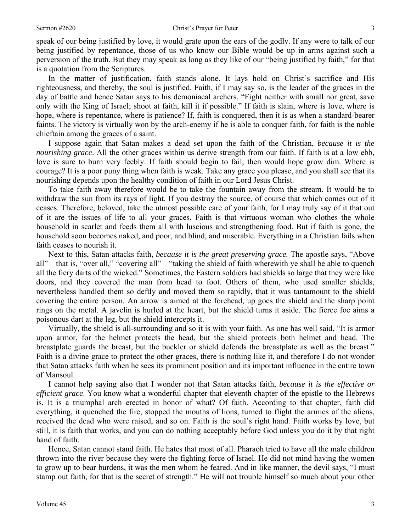speak of our being justified by love, it would grate upon the ears of the godly. If any were to talk of our being justified by repentance, those of us who know our Bible would be up in arms against such a perversion of the truth. But they may speak as long as they like of our "being justified by faith," for that is a quotation from the Scriptures.

 In the matter of justification, faith stands alone. It lays hold on Christ's sacrifice and His righteousness, and thereby, the soul is justified. Faith, if I may say so, is the leader of the graces in the day of battle and hence Satan says to his demoniacal archers, "Fight neither with small nor great, save only with the King of Israel; shoot at faith, kill it if possible." If faith is slain, where is love, where is hope, where is repentance, where is patience? If, faith is conquered, then it is as when a standard-bearer faints. The victory is virtually won by the arch-enemy if he is able to conquer faith, for faith is the noble chieftain among the graces of a saint.

 I suppose again that Satan makes a dead set upon the faith of the Christian, *because it is the nourishing grace*. All the other graces within us derive strength from our faith. If faith is at a low ebb, love is sure to burn very feebly. If faith should begin to fail, then would hope grow dim. Where is courage? It is a poor puny thing when faith is weak. Take any grace you please, and you shall see that its nourishing depends upon the healthy condition of faith in our Lord Jesus Christ.

 To take faith away therefore would be to take the fountain away from the stream. It would be to withdraw the sun from its rays of light. If you destroy the source, of course that which comes out of it ceases. Therefore, beloved, take the utmost possible care of your faith, for I may truly say of it that out of it are the issues of life to all your graces. Faith is that virtuous woman who clothes the whole household in scarlet and feeds them all with luscious and strengthening food. But if faith is gone, the household soon becomes naked, and poor, and blind, and miserable. Everything in a Christian fails when faith ceases to nourish it.

 Next to this, Satan attacks faith, *because it is the great preserving grace.* The apostle says, "Above all"—that is, "over all," "covering all"—"taking the shield of faith wherewith ye shall be able to quench all the fiery darts of the wicked." Sometimes, the Eastern soldiers had shields so large that they were like doors, and they covered the man from head to foot. Others of them, who used smaller shields, nevertheless handled them so deftly and moved them so rapidly, that it was tantamount to the shield covering the entire person. An arrow is aimed at the forehead, up goes the shield and the sharp point rings on the metal. A javelin is hurled at the heart, but the shield turns it aside. The fierce foe aims a poisonous dart at the leg, but the shield intercepts it.

 Virtually, the shield is all-surrounding and so it is with your faith. As one has well said, "It is armor upon armor, for the helmet protects the head, but the shield protects both helmet and head. The breastplate guards the breast, but the buckler or shield defends the breastplate as well as the breast." Faith is a divine grace to protect the other graces, there is nothing like it, and therefore I do not wonder that Satan attacks faith when he sees its prominent position and its important influence in the entire town of Mansoul.

 I cannot help saying also that I wonder not that Satan attacks faith, *because it is the effective or efficient grace*. You know what a wonderful chapter that eleventh chapter of the epistle to the Hebrews is. It is a triumphal arch erected in honor of what? Of faith. According to that chapter, faith did everything, it quenched the fire, stopped the mouths of lions, turned to flight the armies of the aliens, received the dead who were raised, and so on. Faith is the soul's right hand. Faith works by love, but still, it is faith that works, and you can do nothing acceptably before God unless you do it by that right hand of faith.

 Hence, Satan cannot stand faith. He hates that most of all. Pharaoh tried to have all the male children thrown into the river because they were the fighting force of Israel. He did not mind having the women to grow up to bear burdens, it was the men whom he feared. And in like manner, the devil says, "I must stamp out faith, for that is the secret of strength." He will not trouble himself so much about your other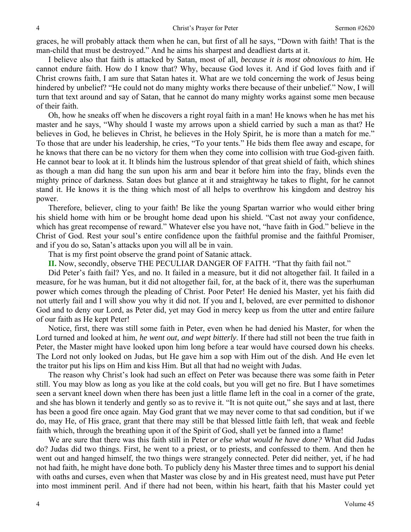graces, he will probably attack them when he can, but first of all he says, "Down with faith! That is the man-child that must be destroyed." And he aims his sharpest and deadliest darts at it.

 I believe also that faith is attacked by Satan, most of all, *because it is most obnoxious to him.* He cannot endure faith. How do I know that? Why, because God loves it. And if God loves faith and if Christ crowns faith, I am sure that Satan hates it. What are we told concerning the work of Jesus being hindered by unbelief? "He could not do many mighty works there because of their unbelief." Now, I will turn that text around and say of Satan, that he cannot do many mighty works against some men because of their faith.

 Oh, how he sneaks off when he discovers a right royal faith in a man! He knows when he has met his master and he says, "Why should I waste my arrows upon a shield carried by such a man as that? He believes in God, he believes in Christ, he believes in the Holy Spirit, he is more than a match for me." To those that are under his leadership, he cries, "To your tents." He bids them flee away and escape, for he knows that there can be no victory for them when they come into collision with true God-given faith. He cannot bear to look at it. It blinds him the lustrous splendor of that great shield of faith, which shines as though a man did hang the sun upon his arm and bear it before him into the fray, blinds even the mighty prince of darkness. Satan does but glance at it and straightway he takes to flight, for he cannot stand it. He knows it is the thing which most of all helps to overthrow his kingdom and destroy his power.

 Therefore, believer, cling to your faith! Be like the young Spartan warrior who would either bring his shield home with him or be brought home dead upon his shield. "Cast not away your confidence, which has great recompense of reward." Whatever else you have not, "have faith in God." believe in the Christ of God. Rest your soul's entire confidence upon the faithful promise and the faithful Promiser, and if you do so, Satan's attacks upon you will all be in vain.

That is my first point observe the grand point of Satanic attack.

**II.** Now, secondly, observe THE PECULIAR DANGER OF FAITH. "That thy faith fail not."

 Did Peter's faith fail? Yes, and no. It failed in a measure, but it did not altogether fail. It failed in a measure, for he was human, but it did not altogether fail, for, at the back of it, there was the superhuman power which comes through the pleading of Christ. Poor Peter! He denied his Master, yet his faith did not utterly fail and I will show you why it did not. If you and I, beloved, are ever permitted to dishonor God and to deny our Lord, as Peter did, yet may God in mercy keep us from the utter and entire failure of our faith as He kept Peter!

 Notice, first, there was still some faith in Peter, even when he had denied his Master, for when the Lord turned and looked at him, *he went out, and wept bitterly*. If there had still not been the true faith in Peter, the Master might have looked upon him long before a tear would have coursed down his cheeks. The Lord not only looked on Judas, but He gave him a sop with Him out of the dish. And He even let the traitor put his lips on Him and kiss Him. But all that had no weight with Judas.

 The reason why Christ's look had such an effect on Peter was because there was some faith in Peter still. You may blow as long as you like at the cold coals, but you will get no fire. But I have sometimes seen a servant kneel down when there has been just a little flame left in the coal in a corner of the grate, and she has blown it tenderly and gently so as to revive it. "It is not quite out," she says and at last, there has been a good fire once again. May God grant that we may never come to that sad condition, but if we do, may He, of His grace, grant that there may still be that blessed little faith left, that weak and feeble faith which, through the breathing upon it of the Spirit of God, shall yet be fanned into a flame!

 We are sure that there was this faith still in Peter *or else what would he have done?* What did Judas do? Judas did two things. First, he went to a priest, or to priests, and confessed to them. And then he went out and hanged himself, the two things were strangely connected. Peter did neither, yet, if he had not had faith, he might have done both. To publicly deny his Master three times and to support his denial with oaths and curses, even when that Master was close by and in His greatest need, must have put Peter into most imminent peril. And if there had not been, within his heart, faith that his Master could yet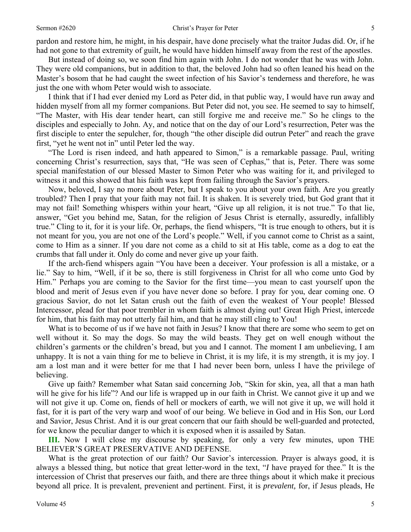pardon and restore him, he might, in his despair, have done precisely what the traitor Judas did. Or, if he had not gone to that extremity of guilt, he would have hidden himself away from the rest of the apostles.

 But instead of doing so, we soon find him again with John. I do not wonder that he was with John. They were old companions, but in addition to that, the beloved John had so often leaned his head on the Master's bosom that he had caught the sweet infection of his Savior's tenderness and therefore, he was just the one with whom Peter would wish to associate.

 I think that if I had ever denied my Lord as Peter did, in that public way, I would have run away and hidden myself from all my former companions. But Peter did not, you see. He seemed to say to himself, "The Master, with His dear tender heart, can still forgive me and receive me." So he clings to the disciples and especially to John. Ay, and notice that on the day of our Lord's resurrection, Peter was the first disciple to enter the sepulcher, for, though "the other disciple did outrun Peter" and reach the grave first, "yet he went not in" until Peter led the way.

 "The Lord is risen indeed, and hath appeared to Simon," is a remarkable passage. Paul, writing concerning Christ's resurrection, says that, "He was seen of Cephas," that is, Peter. There was some special manifestation of our blessed Master to Simon Peter who was waiting for it, and privileged to witness it and this showed that his faith was kept from failing through the Savior's prayers.

 Now, beloved, I say no more about Peter, but I speak to you about your own faith. Are you greatly troubled? Then I pray that your faith may not fail. It is shaken. It is severely tried, but God grant that it may not fail! Something whispers within your heart, "Give up all religion, it is not true." To that lie, answer, "Get you behind me, Satan, for the religion of Jesus Christ is eternally, assuredly, infallibly true." Cling to it, for it is your life. Or, perhaps, the fiend whispers, "It is true enough to others, but it is not meant for you, you are not one of the Lord's people." Well, if you cannot come to Christ as a saint, come to Him as a sinner. If you dare not come as a child to sit at His table, come as a dog to eat the crumbs that fall under it. Only do come and never give up your faith.

 If the arch-fiend whispers again "You have been a deceiver. Your profession is all a mistake, or a lie." Say to him, "Well, if it be so, there is still forgiveness in Christ for all who come unto God by Him." Perhaps you are coming to the Savior for the first time—you mean to cast yourself upon the blood and merit of Jesus even if you have never done so before. I pray for you, dear coming one. O gracious Savior, do not let Satan crush out the faith of even the weakest of Your people! Blessed Intercessor, plead for that poor trembler in whom faith is almost dying out! Great High Priest, intercede for him, that his faith may not utterly fail him, and that he may still cling to You!

 What is to become of us if we have not faith in Jesus? I know that there are some who seem to get on well without it. So may the dogs. So may the wild beasts. They get on well enough without the children's garments or the children's bread, but you and I cannot. The moment I am unbelieving, I am unhappy. It is not a vain thing for me to believe in Christ, it is my life, it is my strength, it is my joy. I am a lost man and it were better for me that I had never been born, unless I have the privilege of believing.

 Give up faith? Remember what Satan said concerning Job, "Skin for skin, yea, all that a man hath will he give for his life"? And our life is wrapped up in our faith in Christ. We cannot give it up and we will not give it up. Come on, fiends of hell or mockers of earth, we will not give it up, we will hold it fast, for it is part of the very warp and woof of our being. We believe in God and in His Son, our Lord and Savior, Jesus Christ. And it is our great concern that our faith should be well-guarded and protected, for we know the peculiar danger to which it is exposed when it is assailed by Satan.

**III.** Now I will close my discourse by speaking, for only a very few minutes, upon THE BELIEVER'S GREAT PRESERVATIVE AND DEFENSE.

 What is the great protection of our faith? Our Savior's intercession. Prayer is always good, it is always a blessed thing, but notice that great letter-word in the text, "*I* have prayed for thee." It is the intercession of Christ that preserves our faith, and there are three things about it which make it precious beyond all price. It is prevalent, prevenient and pertinent. First, it is *prevalent,* for, if Jesus pleads, He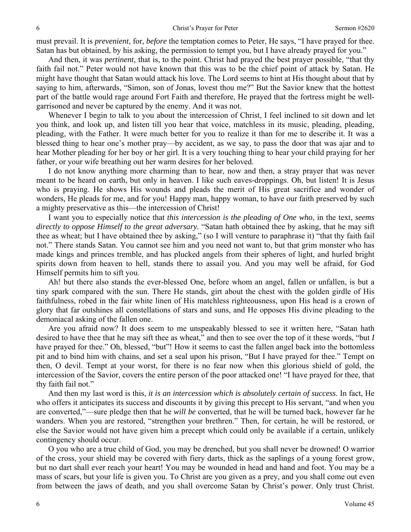must prevail. It is *prevenient*, for, *before* the temptation comes to Peter, He says, "I have prayed for thee. Satan has but obtained, by his asking, the permission to tempt you, but I have already prayed for you."

 And then, it was *pertinent*, that is, to the point. Christ had prayed the best prayer possible, "that thy faith fail not." Peter would not have known that this was to be the chief point of attack by Satan. He might have thought that Satan would attack his love. The Lord seems to hint at His thought about that by saying to him, afterwards, "Simon, son of Jonas, lovest thou me?" But the Savior knew that the hottest part of the battle would rage around Fort Faith and therefore, He prayed that the fortress might be wellgarrisoned and never be captured by the enemy. And it was not.

 Whenever I begin to talk to you about the intercession of Christ, I feel inclined to sit down and let you think, and look up, and listen till you hear that voice, matchless in its music, pleading, pleading, pleading, with the Father. It were much better for you to realize it than for me to describe it. It was a blessed thing to hear one's mother pray—by accident, as we say, to pass the door that was ajar and to hear Mother pleading for her boy or her girl. It is a very touching thing to hear your child praying for her father, or your wife breathing out her warm desires for her beloved.

 I do not know anything more charming than to hear, now and then, a stray prayer that was never meant to be heard on earth, but only in heaven. I like such eaves-droppings. Oh, but listen! It is Jesus who is praying. He shows His wounds and pleads the merit of His great sacrifice and wonder of wonders, He pleads for me, and for you! Happy man, happy woman, to have our faith preserved by such a mighty preservative as this—the intercession of Christ!

 I want you to especially notice that *this intercession is the pleading of One who*, in the text, *seems directly to oppose Himself to the great adversary.* "Satan hath obtained thee by asking, that he may sift thee as wheat; but I have obtained thee by asking," (so I will venture to paraphrase it) "that thy faith fail not." There stands Satan. You cannot see him and you need not want to, but that grim monster who has made kings and princes tremble, and has plucked angels from their spheres of light, and hurled bright spirits down from heaven to hell, stands there to assail you. And you may well be afraid, for God Himself permits him to sift you.

 Ah! but there also stands the ever-blessed One, before whom an angel, fallen or unfallen, is but a tiny spark compared with the sun. There He stands, girt about the chest with the golden girdle of His faithfulness, robed in the fair white linen of His matchless righteousness, upon His head is a crown of glory that far outshines all constellations of stars and suns, and He opposes His divine pleading to the demoniacal asking of the fallen one.

 Are you afraid now? It does seem to me unspeakably blessed to see it written here, "Satan hath desired to have thee that he may sift thee as wheat," and then to see over the top of it these words, "but *I* have prayed for thee." Oh, blessed, "but"! How it seems to cast the fallen angel back into the bottomless pit and to bind him with chains, and set a seal upon his prison, "But I have prayed for thee." Tempt on then, O devil. Tempt at your worst, for there is no fear now when this glorious shield of gold, the intercession of the Savior, covers the entire person of the poor attacked one! "I have prayed for thee, that thy faith fail not."

 And then my last word is this, *it is an intercession which is absolutely certain of success*. In fact, He who offers it anticipates its success and discounts it by giving this precept to His servant, "and when you are converted,"—sure pledge then that he *will be* converted, that he will be turned back, however far he wanders. When you are restored, "strengthen your brethren." Then, for certain, he will be restored, or else the Savior would not have given him a precept which could only be available if a certain, unlikely contingency should occur.

 O you who are a true child of God, you may be drenched, but you shall never be drowned! O warrior of the cross, your shield may be covered with fiery darts, thick as the saplings of a young forest grow, but no dart shall ever reach your heart! You may be wounded in head and hand and foot. You may be a mass of scars, but your life is given you. To Christ are you given as a prey, and you shall come out even from between the jaws of death, and you shall overcome Satan by Christ's power. Only trust Christ.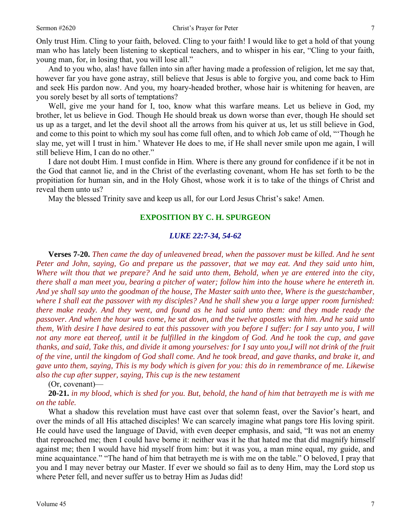Only trust Him. Cling to your faith, beloved. Cling to your faith! I would like to get a hold of that young man who has lately been listening to skeptical teachers, and to whisper in his ear, "Cling to your faith, young man, for, in losing that, you will lose all."

 And to you who, alas! have fallen into sin after having made a profession of religion, let me say that, however far you have gone astray, still believe that Jesus is able to forgive you, and come back to Him and seek His pardon now. And you, my hoary-headed brother, whose hair is whitening for heaven, are you sorely beset by all sorts of temptations?

 Well, give me your hand for I, too, know what this warfare means. Let us believe in God, my brother, let us believe in God. Though He should break us down worse than ever, though He should set us up as a target, and let the devil shoot all the arrows from his quiver at us, let us still believe in God, and come to this point to which my soul has come full often, and to which Job came of old, "'Though he slay me, yet will I trust in him.' Whatever He does to me, if He shall never smile upon me again, I will still believe Him, I can do no other."

 I dare not doubt Him. I must confide in Him. Where is there any ground for confidence if it be not in the God that cannot lie, and in the Christ of the everlasting covenant, whom He has set forth to be the propitiation for human sin, and in the Holy Ghost, whose work it is to take of the things of Christ and reveal them unto us?

May the blessed Trinity save and keep us all, for our Lord Jesus Christ's sake! Amen.

### **EXPOSITION BY C. H. SPURGEON**

#### *LUKE 22:7-34, 54-62*

**Verses 7-20.** *Then came the day of unleavened bread, when the passover must be killed. And he sent Peter and John, saying, Go and prepare us the passover, that we may eat. And they said unto him, Where wilt thou that we prepare? And he said unto them, Behold, when ye are entered into the city, there shall a man meet you, bearing a pitcher of water; follow him into the house where he entereth in. And ye shall say unto the goodman of the house, The Master saith unto thee, Where is the guestchamber, where I shall eat the passover with my disciples? And he shall shew you a large upper room furnished: there make ready. And they went, and found as he had said unto them: and they made ready the passover. And when the hour was come, he sat down, and the twelve apostles with him. And he said unto them, With desire I have desired to eat this passover with you before I suffer: for I say unto you, I will not any more eat thereof, until it be fulfilled in the kingdom of God. And he took the cup, and gave thanks, and said, Take this, and divide it among yourselves: for I say unto you,I will not drink of the fruit of the vine, until the kingdom of God shall come. And he took bread, and gave thanks, and brake it, and gave unto them, saying, This is my body which is given for you: this do in remembrance of me. Likewise also the cup after supper, saying, This cup is the new testament* 

(Or, covenant)—

**20-21.** *in my blood, which is shed for you. But, behold, the hand of him that betrayeth me is with me on the table.* 

 What a shadow this revelation must have cast over that solemn feast, over the Savior's heart, and over the minds of all His attached disciples! We can scarcely imagine what pangs tore His loving spirit. He could have used the language of David, with even deeper emphasis, and said, "It was not an enemy that reproached me; then I could have borne it: neither was it he that hated me that did magnify himself against me; then I would have hid myself from him: but it was you, a man mine equal, my guide, and mine acquaintance." "The hand of him that betrayeth me is with me on the table." O beloved, I pray that you and I may never betray our Master. If ever we should so fail as to deny Him, may the Lord stop us where Peter fell, and never suffer us to betray Him as Judas did!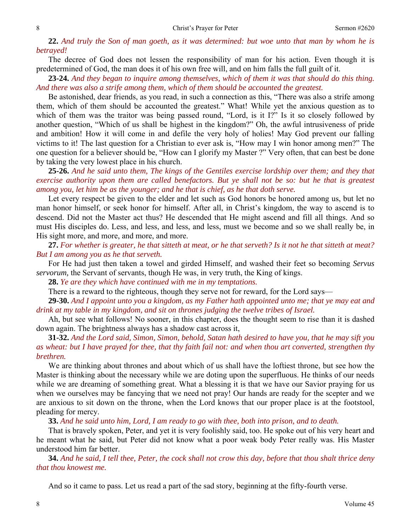**22.** *And truly the Son of man goeth, as it was determined: but woe unto that man by whom he is betrayed!* 

 The decree of God does not lessen the responsibility of man for his action. Even though it is predetermined of God, the man does it of his own free will, and on him falls the full guilt of it.

**23-24.** *And they began to inquire among themselves, which of them it was that should do this thing. And there was also a strife among them, which of them should be accounted the greatest.*

 Be astonished, dear friends, as you read, in such a connection as this, "There was also a strife among them, which of them should be accounted the greatest." What! While yet the anxious question as to which of them was the traitor was being passed round, "Lord, is it I?" Is it so closely followed by another question, "Which of us shall be highest in the kingdom?" Oh, the awful intrusiveness of pride and ambition! How it will come in and defile the very holy of holies! May God prevent our falling victims to it! The last question for a Christian to ever ask is, "How may I win honor among men?" The one question for a believer should be, "How can I glorify my Master ?" Very often, that can best be done by taking the very lowest place in his church.

**25-26.** *And he said unto them, The kings of the Gentiles exercise lordship over them; and they that exercise authority upon them are called benefactors. But ye shall not be so: but he that is greatest among you, let him be as the younger; and he that is chief, as he that doth serve.*

Let every respect be given to the elder and let such as God honors be honored among us, but let no man honor himself, or seek honor for himself. After all, in Christ's kingdom, the way to ascend is to descend. Did not the Master act thus? He descended that He might ascend and fill all things. And so must His disciples do. Less, and less, and less, and less, must we become and so we shall really be, in His sight more, and more, and more, and more.

**27.** *For whether is greater, he that sitteth at meat, or he that serveth? Is it not he that sitteth at meat? But I am among you as he that serveth.*

 For He had just then taken a towel and girded Himself, and washed their feet so becoming *Servus servorum,* the Servant of servants, though He was, in very truth, the King of kings.

**28.** *Ye are they which have continued with me in my temptations.*

There is a reward to the righteous, though they serve not for reward, for the Lord says—

**29-30.** *And I appoint unto you a kingdom, as my Father hath appointed unto me; that ye may eat and drink at my table in my kingdom, and sit on thrones judging the twelve tribes of Israel.* 

 Ah, but see what follows! No sooner, in this chapter, does the thought seem to rise than it is dashed down again. The brightness always has a shadow cast across it,

**31-32.** *And the Lord said, Simon, Simon, behold, Satan hath desired to have you, that he may sift you as wheat: but I have prayed for thee, that thy faith fail not: and when thou art converted, strengthen thy brethren.*

 We are thinking about thrones and about which of us shall have the loftiest throne, but see how the Master is thinking about the necessary while we are doting upon the superfluous. He thinks of our needs while we are dreaming of something great. What a blessing it is that we have our Savior praying for us when we ourselves may be fancying that we need not pray! Our hands are ready for the scepter and we are anxious to sit down on the throne, when the Lord knows that our proper place is at the footstool, pleading for mercy.

**33.** *And he said unto him, Lord, I am ready to go with thee, both into prison, and to death.* 

That is bravely spoken, Peter, and yet it is very foolishly said, too. He spoke out of his very heart and he meant what he said, but Peter did not know what a poor weak body Peter really was. His Master understood him far better.

**34.** *And he said, I tell thee, Peter, the cock shall not crow this day, before that thou shalt thrice deny that thou knowest me.* 

And so it came to pass. Let us read a part of the sad story, beginning at the fifty-fourth verse.